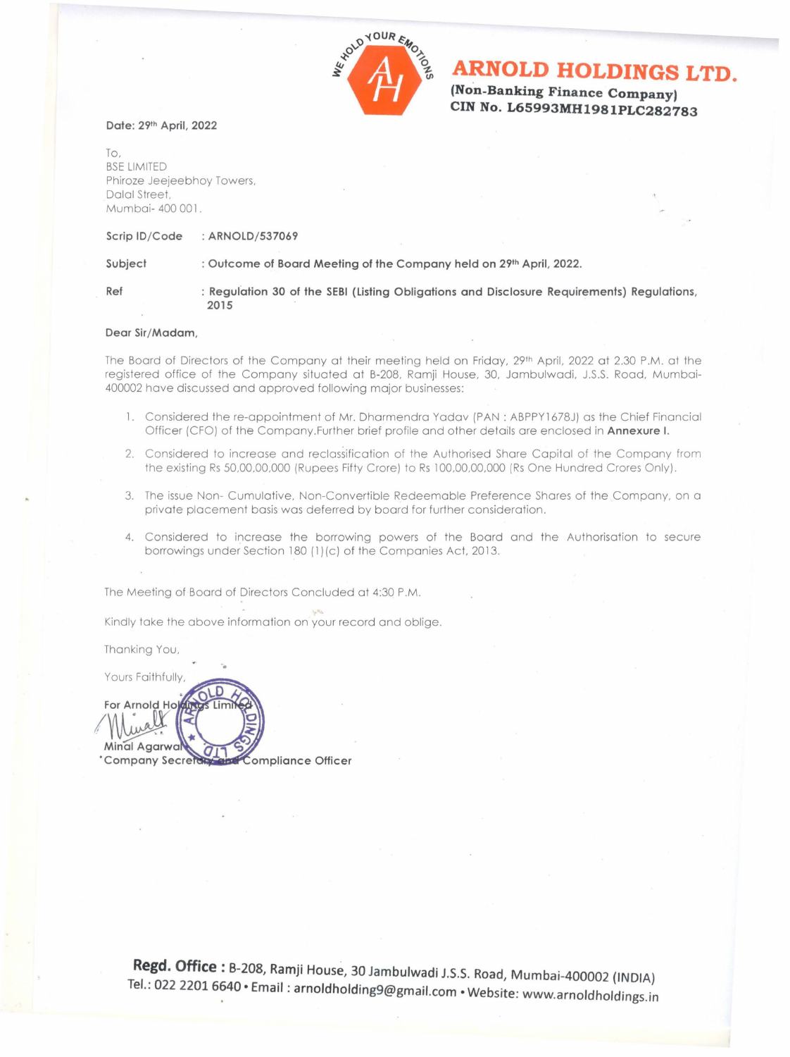

# **ARNOLD HOLDINGS LTD.**

**(Non-Banking Finance Company) CIN No. L65993MH1981PLC282783** 

### **Date: 29th April, 2022**

To, BSE LIMITED Phiroze Jeejeebhoy Towers, Dalal Street. Mumbai- 400 001.

### **Scrip ID/ Code : ARNOLD/ 537069**

**2015** 

## Subject : Outcome of Board Meeting of the Company held on 29<sup>th</sup> April, 2022.

Ref : Regulation 30 of the SEBI (Listing Obligations and Disclosure Requirements) Regulations,

### **Dear Sir/ Madam,**

The Board of Directors of the Company at their meeting held on Friday, 29th April, 2022 at 2.30 P.M. at the registered office of the Company situated at B-208, Ramji House, 30, Jambulwadi, J.S.S. Road, Mumbai-400002 have discussed and approved following major businesses:

- 1. Considered the re-appointment of Mr. Dharmendra Yadav (PAN: ABPPY1678J) as the Chief Financial Officer (CFO) of the Company.Further brief profile and other details are enclosed in **Annexure I.**
- 2. Considered to increase and reclassification of the Authorised Share Capital of the Company from the existing Rs 50,00,00,000 (Rupees Fifty Crore) to Rs 100,00,00,000 (Rs One Hundred Crores Only).
- 3. The issue Non- Cumulative, Non-Convertible Redeemable Preference Shares of the Company, on a private placement basis was deferred by board for further consideration.
- 4. Considered to increase the borrowing powers of the Board and the Authorisation to secure borrowings under Section 180 (1)(c) of the Companies Act, 2013.

The Meeting of Board of Directors Concluded at 4:30 P.M.

Kindly take the above information on your record and oblige.

Thanking You,

. Yours Faithfully,

**for Arnold Hold** Minal Agarwa **QI** 'Company Secretory and Compliance Officer

> Regd. Office : B-208, Ramji House, 30 Jambulwadi J.S.S. Road, Mumbai-400002 (INDIA) Tel.: 022 2201 6640 · Email : arnoldholding9@gmail.com · Website: www.arnoldholdings.in